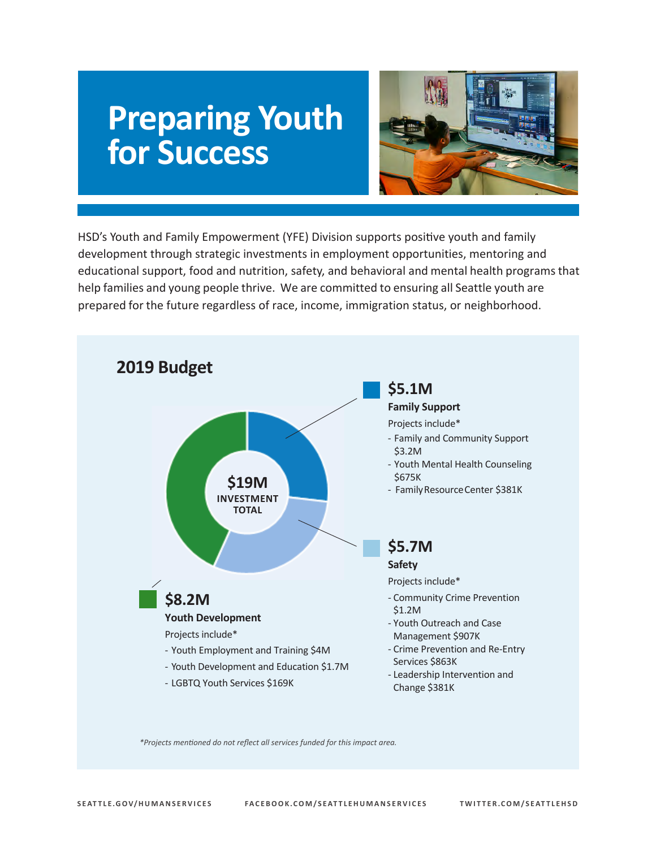# **Preparing Youth for Success**



HSD's Youth and Family Empowerment (YFE) Division supports positive youth and family development through strategic investments in employment opportunities, mentoring and educational support, food and nutrition, safety, and behavioral and mental health programsthat help families and young people thrive. We are committed to ensuring all Seattle youth are prepared for the future regardless of race, income, immigration status, or neighborhood.



*\*Projects mentioned do not reflect all services funded for this impact area.*